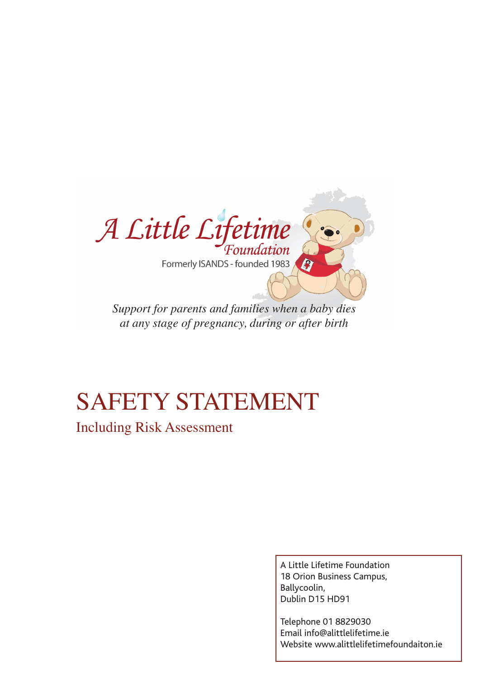

*Support for parents and families when a baby dies at any stage of pregnancy, during or after birth*

# SAFETY STATEMENT

Including Risk Assessment

A Little Lifetime Foundation 18 Orion Business Campus, Ballycoolin, Dublin D15 HD91

Telephone 01 8829030 Email info@alittlelifetime.ie Website www.alittlelifetimefoundaiton.ie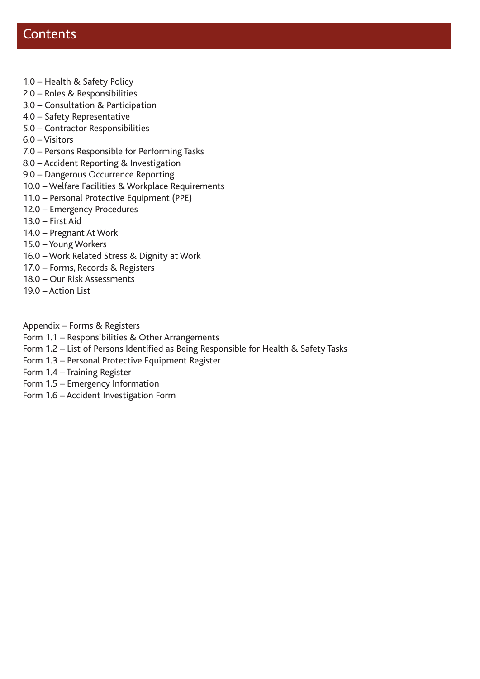## **Contents**

- 1.0 Health & Safety Policy
- 2.0 Roles & Responsibilities
- 3.0 Consultation & Participation
- 4.0 Safety Representative
- 5.0 Contractor Responsibilities
- 6.0 Visitors
- 7.0 Persons Responsible for Performing Tasks
- 8.0 Accident Reporting & Investigation
- 9.0 Dangerous Occurrence Reporting
- 10.0 Welfare Facilities & Workplace Requirements
- 11.0 Personal Protective Equipment (PPE)
- 12.0 Emergency Procedures
- 13.0 First Aid
- 14.0 Pregnant At Work
- 15.0 Young Workers
- 16.0 Work Related Stress & Dignity at Work
- 17.0 Forms, Records & Registers
- 18.0 Our Risk Assessments
- 19.0 Action List

Appendix – Forms & Registers

- Form 1.1 Responsibilities & Other Arrangements
- Form 1.2 List of Persons Identified as Being Responsible for Health & Safety Tasks
- Form 1.3 Personal Protective Equipment Register
- Form 1.4 Training Register
- Form 1.5 Emergency Information
- Form 1.6 Accident Investigation Form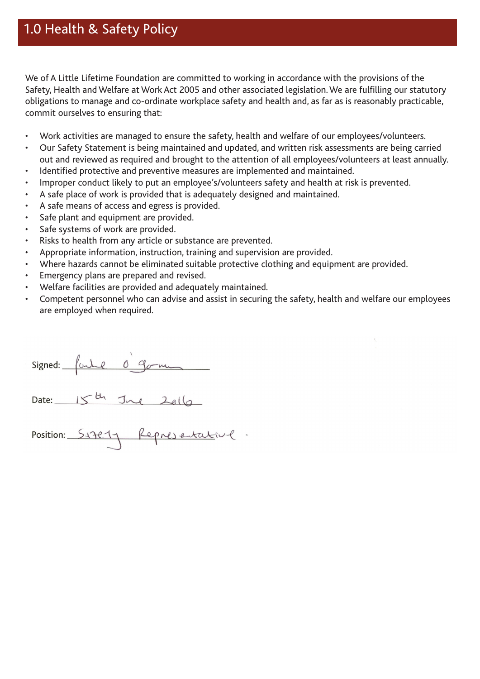## 1.0 Health & Safety Policy

We of A Little Lifetime Foundation are committed to working in accordance with the provisions of the Safety, Health and Welfare at Work Act 2005 and other associated legislation. We are fulfilling our statutory obligations to manage and co-ordinate workplace safety and health and, as far as is reasonably practicable, commit ourselves to ensuring that:

- Work activities are managed to ensure the safety, health and welfare of our employees/volunteers.
- Our Safety Statement is being maintained and updated, and written risk assessments are being carried out and reviewed as required and brought to the attention of all employees/volunteers at least annually.
- • Identified protective and preventive measures are implemented and maintained.
- • Improper conduct likely to put an employee's/volunteers safety and health at risk is prevented.
- A safe place of work is provided that is adequately designed and maintained.
- A safe means of access and egress is provided.
- Safe plant and equipment are provided.
- Safe systems of work are provided.
- • Risks to health from any article or substance are prevented.
- Appropriate information, instruction, training and supervision are provided.
- Where hazards cannot be eliminated suitable protective clothing and equipment are provided.
- Emergency plans are prepared and revised.
- Welfare facilities are provided and adequately maintained.
- Competent personnel who can advise and assist in securing the safety, health and welfare our employees are employed when required.

 $\mathbb{S}$   $\mathbb{S}$   $\mathbb{S}$   $\mathbb{S}$   $\mathbb{S}$   $\mathbb{S}$   $\mathbb{S}$ 

Date:  $15th$  Jue  $20th$ 

Position: Sizety Representative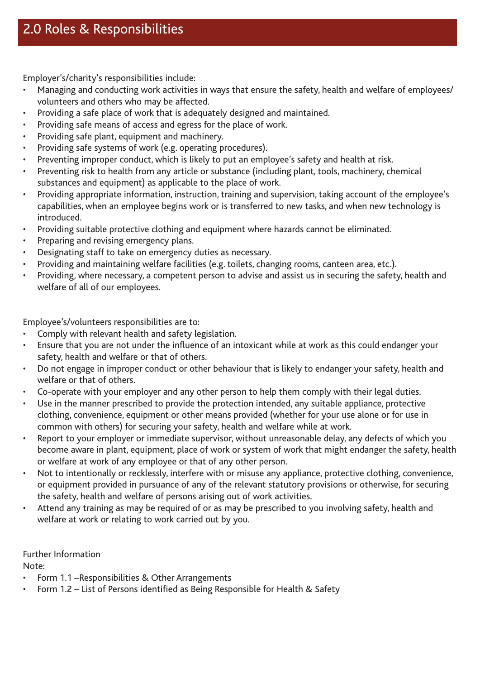Employer's/charity's responsibilities include:

- Managing and conducting work activities in ways that ensure the safety, health and welfare of employees/ volunteers and others who may be affected.
- Providing a safe place of work that is adequately designed and maintained.
- Providing safe means of access and egress for the place of work.
- Providing safe plant, equipment and machinery.
- Providing safe systems of work (e.g. operating procedures).
- Preventing improper conduct, which is likely to put an employee's safety and health at risk.
- Preventing risk to health from any article or substance (including plant, tools, machinery, chemical substances and equipment) as applicable to the place of work.
- • Providing appropriate information, instruction, training and supervision, taking account of the employee's capabilities, when an employee begins work or is transferred to new tasks, and when new technology is introduced.
- Providing suitable protective clothing and equipment where hazards cannot be eliminated.
- Preparing and revising emergency plans.
- Designating staff to take on emergency duties as necessary.
- Providing and maintaining welfare facilities (e.g. toilets, changing rooms, canteen area, etc.).
- Providing, where necessary, a competent person to advise and assist us in securing the safety, health and welfare of all of our employees.

Employee's/volunteers responsibilities are to:

- Comply with relevant health and safety legislation.
- Ensure that you are not under the influence of an intoxicant while at work as this could endanger your safety, health and welfare or that of others.
- Do not engage in improper conduct or other behaviour that is likely to endanger your safety, health and welfare or that of others.
- Co-operate with your employer and any other person to help them comply with their legal duties.
- Use in the manner prescribed to provide the protection intended, any suitable appliance, protective clothing, convenience, equipment or other means provided (whether for your use alone or for use in common with others) for securing your safety, health and welfare while at work.
- Report to your employer or immediate supervisor, without unreasonable delay, any defects of which you become aware in plant, equipment, place of work or system of work that might endanger the safety, health or welfare at work of any employee or that of any other person.
- • Not to intentionally or recklessly, interfere with or misuse any appliance, protective clothing, convenience, or equipment provided in pursuance of any of the relevant statutory provisions or otherwise, for securing the safety, health and welfare of persons arising out of work activities.
- • Attend any training as may be required of or as may be prescribed to you involving safety, health and welfare at work or relating to work carried out by you.

Further Information

Note:

- Form 1.1 Responsibilities & Other Arrangements
- Form 1.2 List of Persons identified as Being Responsible for Health & Safety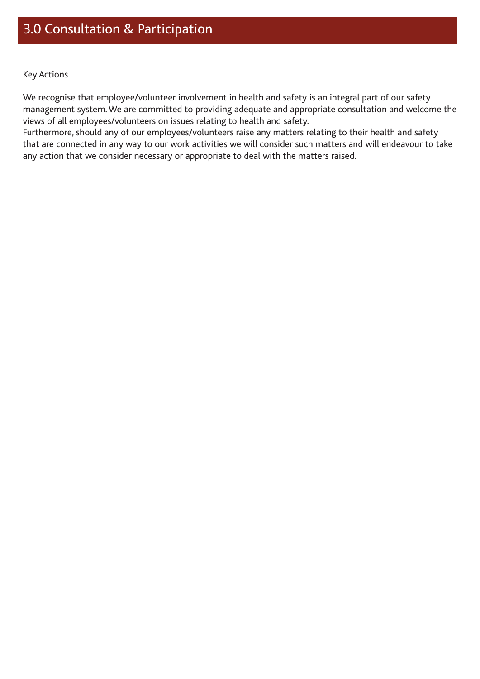We recognise that employee/volunteer involvement in health and safety is an integral part of our safety management system. We are committed to providing adequate and appropriate consultation and welcome the views of all employees/volunteers on issues relating to health and safety.

Furthermore, should any of our employees/volunteers raise any matters relating to their health and safety that are connected in any way to our work activities we will consider such matters and will endeavour to take any action that we consider necessary or appropriate to deal with the matters raised.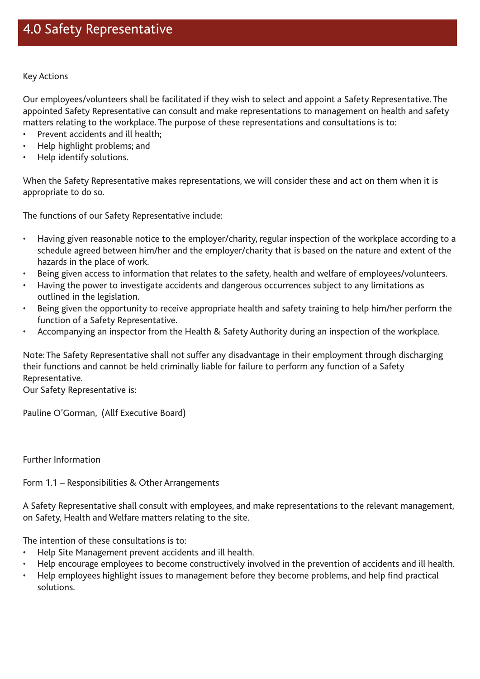Our employees/volunteers shall be facilitated if they wish to select and appoint a Safety Representative. The appointed Safety Representative can consult and make representations to management on health and safety matters relating to the workplace. The purpose of these representations and consultations is to:

- Prevent accidents and ill health:
- Help highlight problems; and
- • Help identify solutions.

When the Safety Representative makes representations, we will consider these and act on them when it is appropriate to do so.

The functions of our Safety Representative include:

- • Having given reasonable notice to the employer/charity, regular inspection of the workplace according to a schedule agreed between him/her and the employer/charity that is based on the nature and extent of the hazards in the place of work.
- Being given access to information that relates to the safety, health and welfare of employees/volunteers.
- Having the power to investigate accidents and dangerous occurrences subject to any limitations as outlined in the legislation.
- Being given the opportunity to receive appropriate health and safety training to help him/her perform the function of a Safety Representative.
- • Accompanying an inspector from the Health & Safety Authority during an inspection of the workplace.

Note: The Safety Representative shall not suffer any disadvantage in their employment through discharging their functions and cannot be held criminally liable for failure to perform any function of a Safety Representative.

Our Safety Representative is:

Pauline O'Gorman, (Allf Executive Board)

Further Information

Form 1.1 – Responsibilities & Other Arrangements

A Safety Representative shall consult with employees, and make representations to the relevant management, on Safety, Health and Welfare matters relating to the site.

The intention of these consultations is to:

- Help Site Management prevent accidents and ill health.
- Help encourage employees to become constructively involved in the prevention of accidents and ill health.
- Help employees highlight issues to management before they become problems, and help find practical solutions.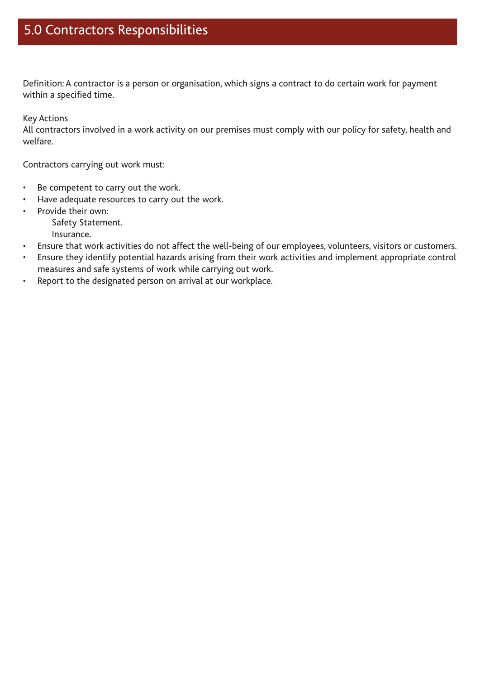Definition: A contractor is a person or organisation, which signs a contract to do certain work for payment within a specified time.

Key Actions

All contractors involved in a work activity on our premises must comply with our policy for safety, health and welfare.

Contractors carrying out work must:

- • Be competent to carry out the work.
- Have adequate resources to carry out the work.
- • Provide their own:
	- Safety Statement.

Insurance.

- • Ensure that work activities do not affect the well-being of our employees, volunteers, visitors or customers.
- • Ensure they identify potential hazards arising from their work activities and implement appropriate control measures and safe systems of work while carrying out work.
- • Report to the designated person on arrival at our workplace.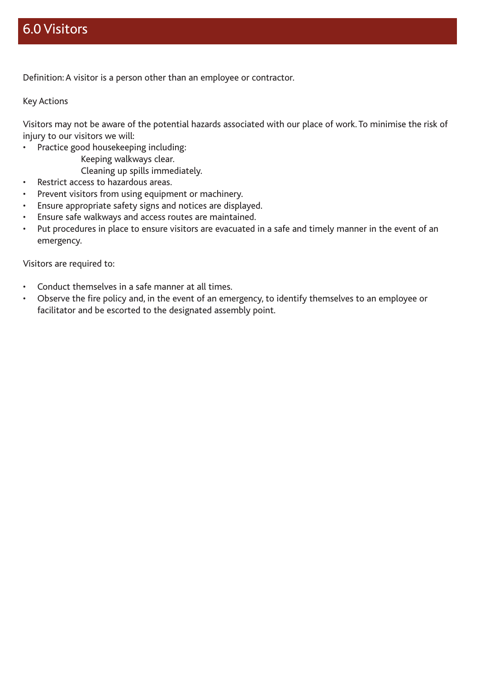## 6.0 Visitors

Definition: A visitor is a person other than an employee or contractor.

Key Actions

Visitors may not be aware of the potential hazards associated with our place of work. To minimise the risk of injury to our visitors we will:

- • Practice good housekeeping including:
	- Keeping walkways clear.

Cleaning up spills immediately.

- • Restrict access to hazardous areas.
- Prevent visitors from using equipment or machinery.
- • Ensure appropriate safety signs and notices are displayed.
- Ensure safe walkways and access routes are maintained.
- Put procedures in place to ensure visitors are evacuated in a safe and timely manner in the event of an emergency.

Visitors are required to:

- • Conduct themselves in a safe manner at all times.
- • Observe the fire policy and, in the event of an emergency, to identify themselves to an employee or facilitator and be escorted to the designated assembly point.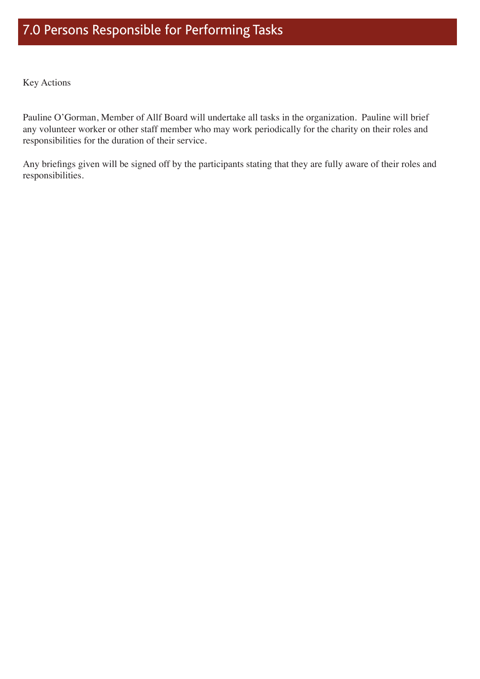Pauline O'Gorman, Member of Allf Board will undertake all tasks in the organization. Pauline will brief any volunteer worker or other staff member who may work periodically for the charity on their roles and responsibilities for the duration of their service.

Any briefings given will be signed off by the participants stating that they are fully aware of their roles and responsibilities.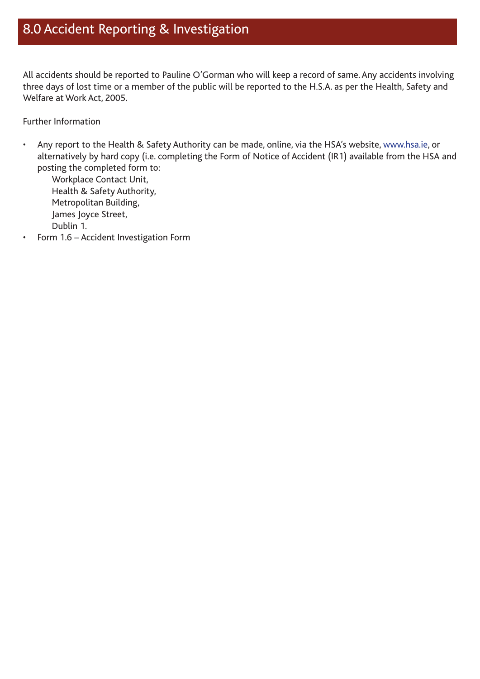## 8.0 Accident Reporting & Investigation

All accidents should be reported to Pauline O'Gorman who will keep a record of same. Any accidents involving three days of lost time or a member of the public will be reported to the H.S.A. as per the Health, Safety and Welfare at Work Act, 2005.

Further Information

• Any report to the Health & Safety Authority can be made, online, via the HSA's website, www.hsa.ie, or alternatively by hard copy (i.e. completing the Form of Notice of Accident (IR1) available from the HSA and posting the completed form to:

Workplace Contact Unit, Health & Safety Authority, Metropolitan Building, James Joyce Street, Dublin 1.

Form 1.6 - Accident Investigation Form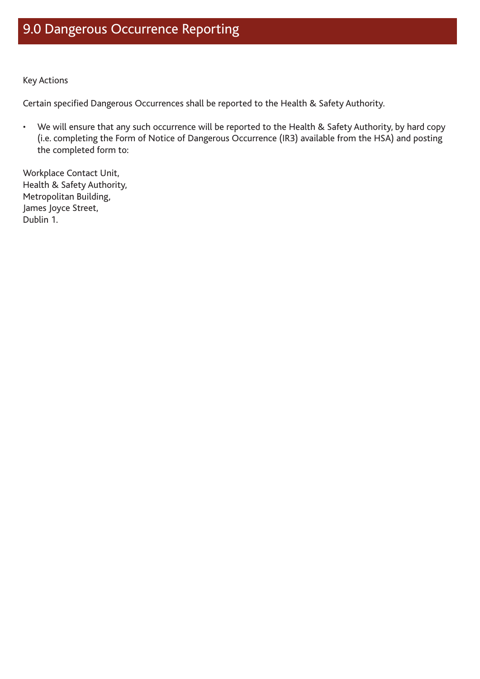## 9.0 Dangerous Occurrence Reporting

Key Actions

Certain specified Dangerous Occurrences shall be reported to the Health & Safety Authority.

• We will ensure that any such occurrence will be reported to the Health & Safety Authority, by hard copy (i.e. completing the Form of Notice of Dangerous Occurrence (IR3) available from the HSA) and posting the completed form to:

Workplace Contact Unit, Health & Safety Authority, Metropolitan Building, James Joyce Street, Dublin 1.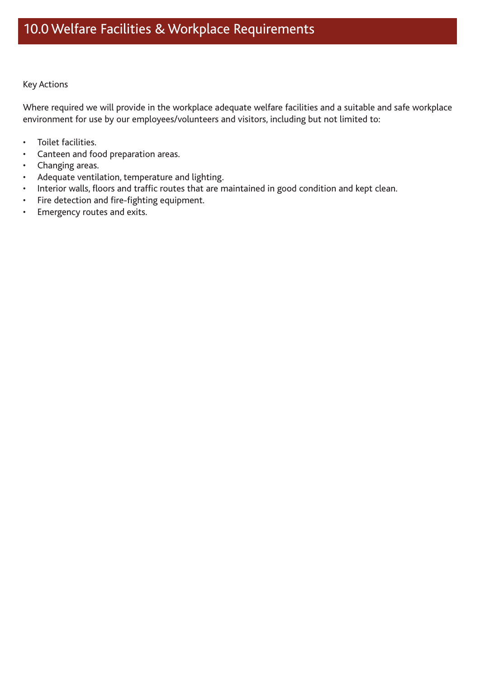Where required we will provide in the workplace adequate welfare facilities and a suitable and safe workplace environment for use by our employees/volunteers and visitors, including but not limited to:

- • Toilet facilities.
- • Canteen and food preparation areas.
- • Changing areas.
- • Adequate ventilation, temperature and lighting.
- • Interior walls, floors and traffic routes that are maintained in good condition and kept clean.
- • Fire detection and fire-fighting equipment.
- • Emergency routes and exits.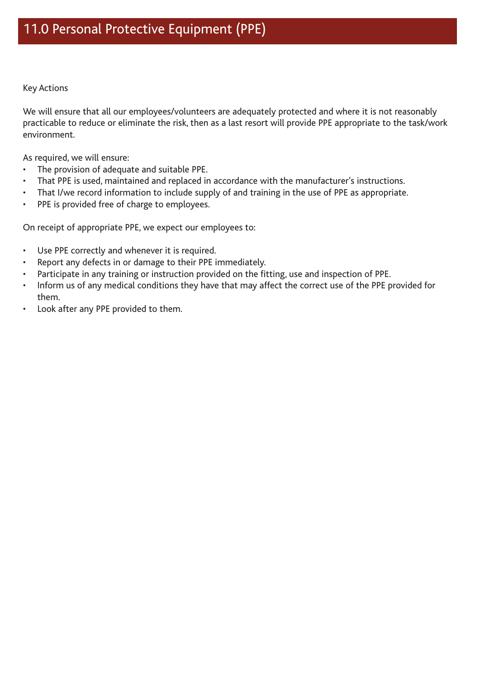We will ensure that all our employees/volunteers are adequately protected and where it is not reasonably practicable to reduce or eliminate the risk, then as a last resort will provide PPE appropriate to the task/work environment.

As required, we will ensure:

- • The provision of adequate and suitable PPE.
- That PPE is used, maintained and replaced in accordance with the manufacturer's instructions.
- That I/we record information to include supply of and training in the use of PPE as appropriate.
- • PPE is provided free of charge to employees.

On receipt of appropriate PPE, we expect our employees to:

- • Use PPE correctly and whenever it is required.
- Report any defects in or damage to their PPE immediately.
- Participate in any training or instruction provided on the fitting, use and inspection of PPE.
- Inform us of any medical conditions they have that may affect the correct use of the PPE provided for them.
- Look after any PPE provided to them.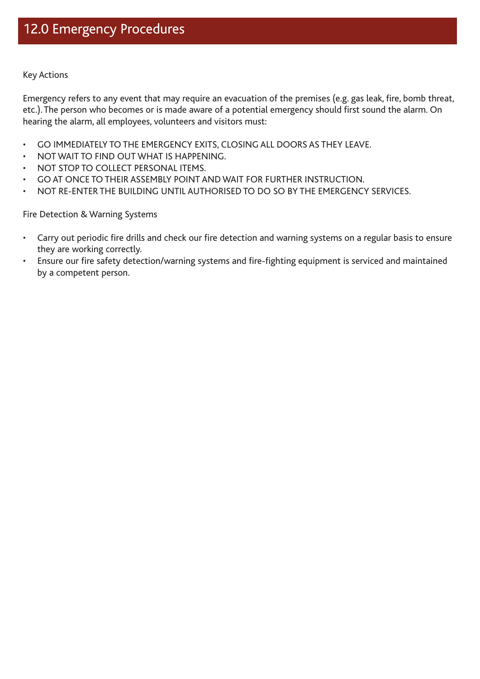Emergency refers to any event that may require an evacuation of the premises (e.g. gas leak, fire, bomb threat, etc.). The person who becomes or is made aware of a potential emergency should first sound the alarm. On hearing the alarm, all employees, volunteers and visitors must:

- GO IMMEDIATELY TO THE EMERGENCY EXITS, CLOSING ALL DOORS AS THEY LEAVE.
- NOT WAIT TO FIND OUT WHAT IS HAPPENING.
- NOT STOP TO COLLECT PERSONAL ITEMS.
- GO AT ONCE TO THEIR ASSEMBLY POINT AND WAIT FOR FURTHER INSTRUCTION.
- • NOT RE-ENTER THE BUILDING UNTIL AUTHORISED TO DO SO BY THE EMERGENCY SERVICES.

Fire Detection & Warning Systems

- Carry out periodic fire drills and check our fire detection and warning systems on a regular basis to ensure they are working correctly.
- • Ensure our fire safety detection/warning systems and fire-fighting equipment is serviced and maintained by a competent person.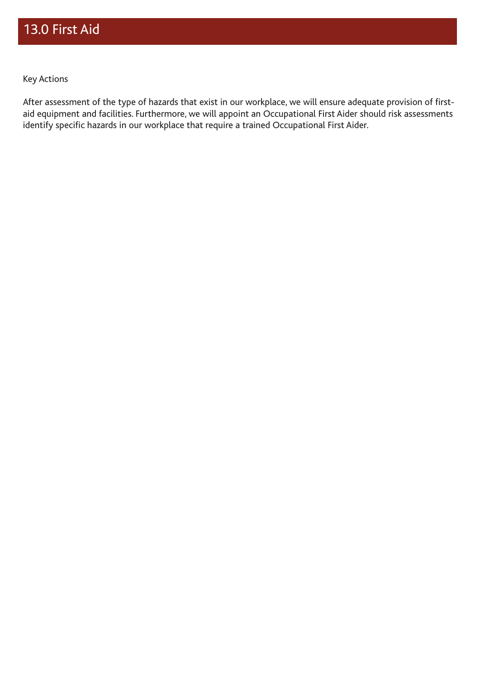After assessment of the type of hazards that exist in our workplace, we will ensure adequate provision of firstaid equipment and facilities. Furthermore, we will appoint an Occupational First Aider should risk assessments identify specific hazards in our workplace that require a trained Occupational First Aider.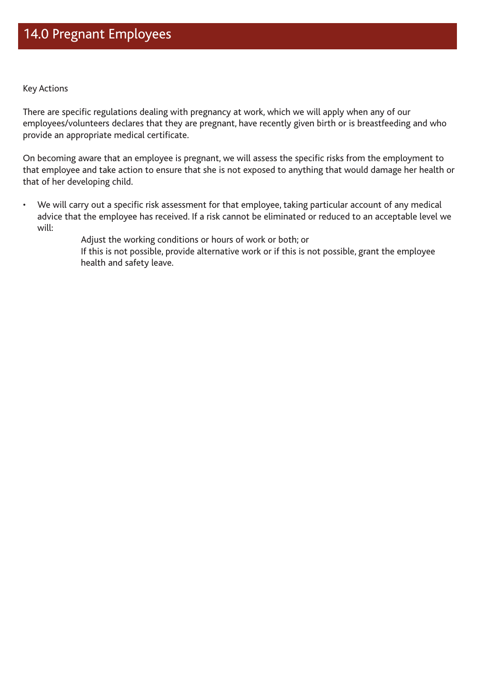There are specific regulations dealing with pregnancy at work, which we will apply when any of our employees/volunteers declares that they are pregnant, have recently given birth or is breastfeeding and who provide an appropriate medical certificate.

On becoming aware that an employee is pregnant, we will assess the specific risks from the employment to that employee and take action to ensure that she is not exposed to anything that would damage her health or that of her developing child.

• We will carry out a specific risk assessment for that employee, taking particular account of any medical advice that the employee has received. If a risk cannot be eliminated or reduced to an acceptable level we will:

> Adjust the working conditions or hours of work or both; or If this is not possible, provide alternative work or if this is not possible, grant the employee health and safety leave.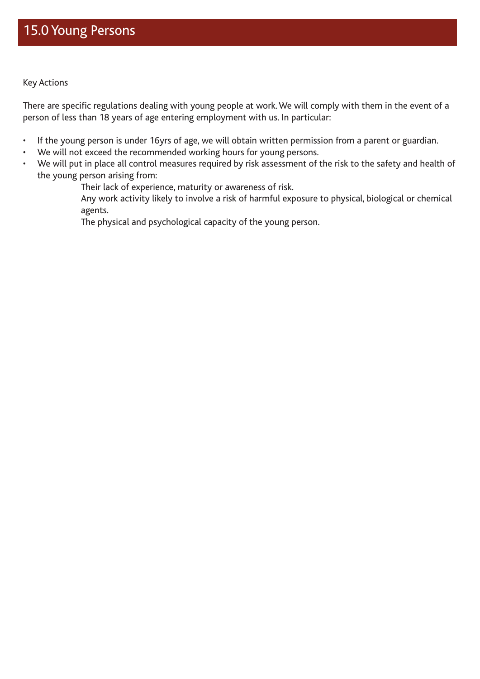There are specific regulations dealing with young people at work. We will comply with them in the event of a person of less than 18 years of age entering employment with us. In particular:

- • If the young person is under 16yrs of age, we will obtain written permission from a parent or guardian.
- We will not exceed the recommended working hours for young persons.
- We will put in place all control measures required by risk assessment of the risk to the safety and health of the young person arising from:

Their lack of experience, maturity or awareness of risk.

 Any work activity likely to involve a risk of harmful exposure to physical, biological or chemical agents.

The physical and psychological capacity of the young person.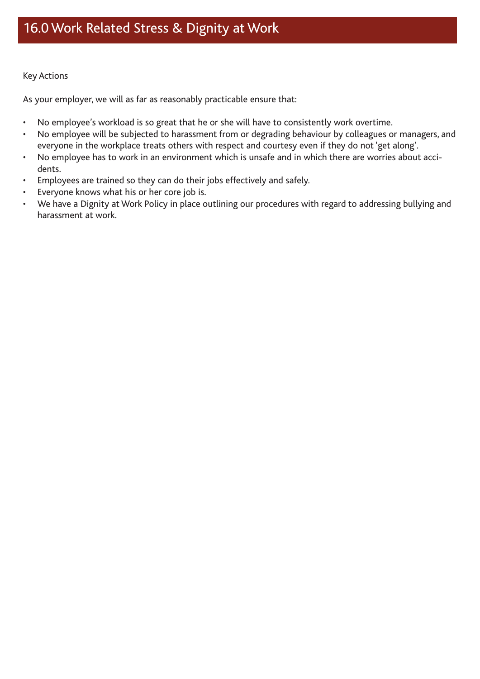As your employer, we will as far as reasonably practicable ensure that:

- No employee's workload is so great that he or she will have to consistently work overtime.
- No employee will be subjected to harassment from or degrading behaviour by colleagues or managers, and everyone in the workplace treats others with respect and courtesy even if they do not 'get along'.
- • No employee has to work in an environment which is unsafe and in which there are worries about accidents.
- Employees are trained so they can do their jobs effectively and safely.
- Everyone knows what his or her core job is.
- We have a Dignity at Work Policy in place outlining our procedures with regard to addressing bullying and harassment at work.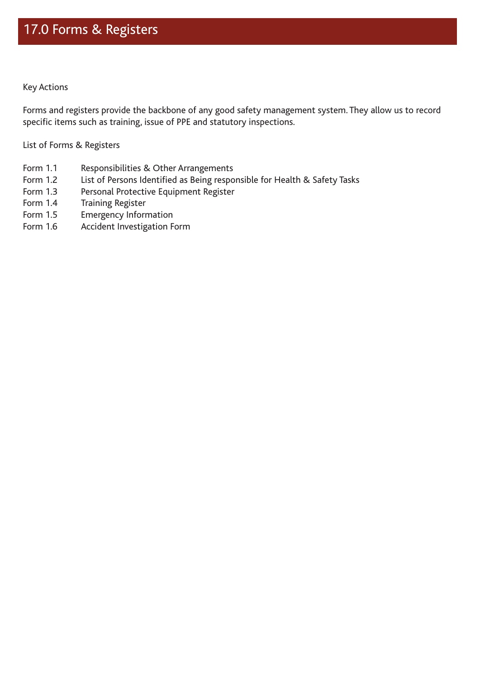Forms and registers provide the backbone of any good safety management system. They allow us to record specific items such as training, issue of PPE and statutory inspections.

List of Forms & Registers

- Form 1.1 Responsibilities & Other Arrangements
- Form 1.2 List of Persons Identified as Being responsible for Health & Safety Tasks
- Form 1.3 Personal Protective Equipment Register
- Form 1.4 Training Register
- Form 1.5 Emergency Information
- Form 1.6 Accident Investigation Form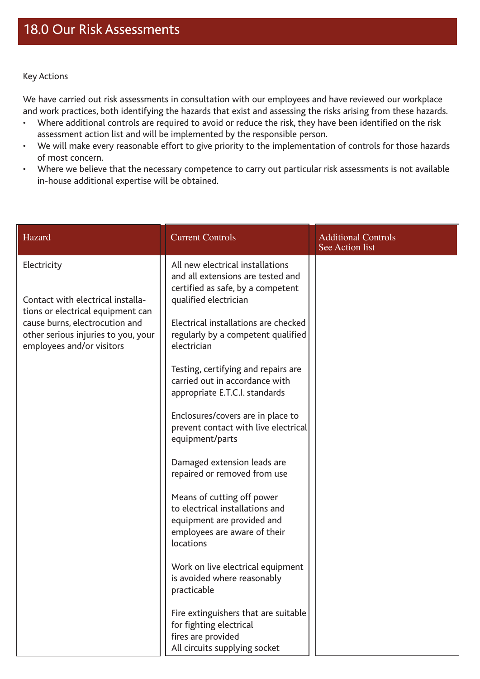We have carried out risk assessments in consultation with our employees and have reviewed our workplace and work practices, both identifying the hazards that exist and assessing the risks arising from these hazards.

- • Where additional controls are required to avoid or reduce the risk, they have been identified on the risk assessment action list and will be implemented by the responsible person.
- • We will make every reasonable effort to give priority to the implementation of controls for those hazards of most concern.
- Where we believe that the necessary competence to carry out particular risk assessments is not available in-house additional expertise will be obtained.

| Hazard                                                              | <b>Current Controls</b>                                                                                                                  | <b>Additional Controls</b><br>See Action list |
|---------------------------------------------------------------------|------------------------------------------------------------------------------------------------------------------------------------------|-----------------------------------------------|
| Electricity<br>Contact with electrical installa-                    | All new electrical installations<br>and all extensions are tested and<br>certified as safe, by a competent                               |                                               |
| tions or electrical equipment can<br>cause burns, electrocution and | qualified electrician<br>Electrical installations are checked                                                                            |                                               |
| other serious injuries to you, your<br>employees and/or visitors    | regularly by a competent qualified<br>electrician                                                                                        |                                               |
|                                                                     | Testing, certifying and repairs are<br>carried out in accordance with<br>appropriate E.T.C.I. standards                                  |                                               |
|                                                                     | Enclosures/covers are in place to<br>prevent contact with live electrical<br>equipment/parts                                             |                                               |
|                                                                     | Damaged extension leads are<br>repaired or removed from use                                                                              |                                               |
|                                                                     | Means of cutting off power<br>to electrical installations and<br>equipment are provided and<br>employees are aware of their<br>locations |                                               |
|                                                                     | Work on live electrical equipment<br>is avoided where reasonably<br>practicable                                                          |                                               |
|                                                                     | Fire extinguishers that are suitable<br>for fighting electrical<br>fires are provided<br>All circuits supplying socket                   |                                               |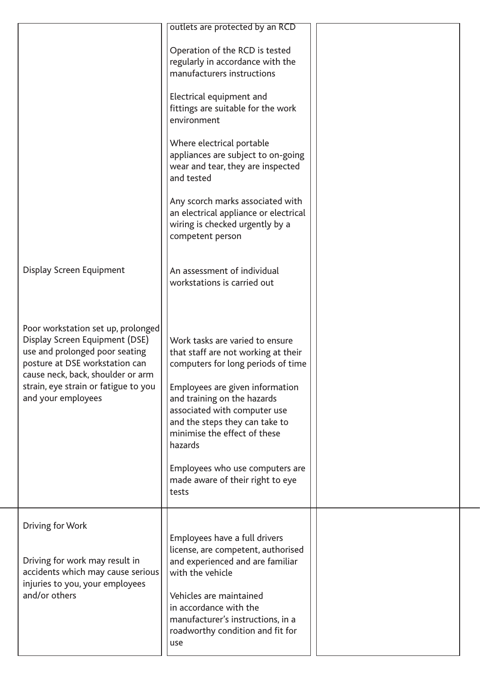|                                                                                                                                                                                                                                             | outlets are protected by an RCD<br>Operation of the RCD is tested<br>regularly in accordance with the<br>manufacturers instructions<br>Electrical equipment and<br>fittings are suitable for the work<br>environment<br>Where electrical portable<br>appliances are subject to on-going<br>wear and tear, they are inspected<br>and tested<br>Any scorch marks associated with<br>an electrical appliance or electrical<br>wiring is checked urgently by a<br>competent person |
|---------------------------------------------------------------------------------------------------------------------------------------------------------------------------------------------------------------------------------------------|--------------------------------------------------------------------------------------------------------------------------------------------------------------------------------------------------------------------------------------------------------------------------------------------------------------------------------------------------------------------------------------------------------------------------------------------------------------------------------|
| Display Screen Equipment                                                                                                                                                                                                                    | An assessment of individual<br>workstations is carried out                                                                                                                                                                                                                                                                                                                                                                                                                     |
| Poor workstation set up, prolonged<br>Display Screen Equipment (DSE)<br>use and prolonged poor seating<br>posture at DSE workstation can<br>cause neck, back, shoulder or arm<br>strain, eye strain or fatigue to you<br>and your employees | Work tasks are varied to ensure<br>that staff are not working at their<br>computers for long periods of time<br>Employees are given information<br>and training on the hazards<br>associated with computer use<br>and the steps they can take to<br>minimise the effect of these<br>hazards<br>Employees who use computers are<br>made aware of their right to eye<br>tests                                                                                                    |
| Driving for Work<br>Driving for work may result in<br>accidents which may cause serious<br>injuries to you, your employees<br>and/or others                                                                                                 | Employees have a full drivers<br>license, are competent, authorised<br>and experienced and are familiar<br>with the vehicle<br>Vehicles are maintained<br>in accordance with the<br>manufacturer's instructions, in a<br>roadworthy condition and fit for<br>use                                                                                                                                                                                                               |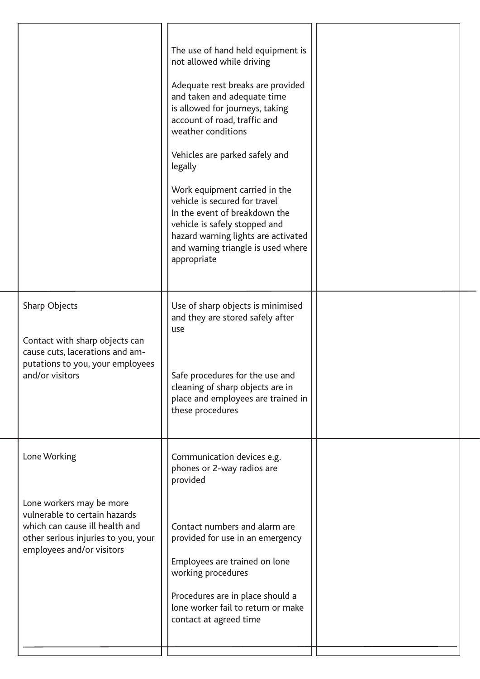|                                                                                                                                                                                 | The use of hand held equipment is<br>not allowed while driving<br>Adequate rest breaks are provided<br>and taken and adequate time<br>is allowed for journeys, taking<br>account of road, traffic and<br>weather conditions<br>Vehicles are parked safely and<br>legally<br>Work equipment carried in the<br>vehicle is secured for travel<br>In the event of breakdown the<br>vehicle is safely stopped and<br>hazard warning lights are activated<br>and warning triangle is used where<br>appropriate |  |
|---------------------------------------------------------------------------------------------------------------------------------------------------------------------------------|----------------------------------------------------------------------------------------------------------------------------------------------------------------------------------------------------------------------------------------------------------------------------------------------------------------------------------------------------------------------------------------------------------------------------------------------------------------------------------------------------------|--|
| Sharp Objects<br>Contact with sharp objects can<br>cause cuts, lacerations and am-<br>putations to you, your employees<br>and/or visitors                                       | Use of sharp objects is minimised<br>and they are stored safely after<br>use<br>Safe procedures for the use and<br>cleaning of sharp objects are in<br>place and employees are trained in<br>these procedures                                                                                                                                                                                                                                                                                            |  |
| Lone Working<br>Lone workers may be more<br>vulnerable to certain hazards<br>which can cause ill health and<br>other serious injuries to you, your<br>employees and/or visitors | Communication devices e.g.<br>phones or 2-way radios are<br>provided<br>Contact numbers and alarm are<br>provided for use in an emergency<br>Employees are trained on lone<br>working procedures<br>Procedures are in place should a<br>lone worker fail to return or make<br>contact at agreed time                                                                                                                                                                                                     |  |
|                                                                                                                                                                                 |                                                                                                                                                                                                                                                                                                                                                                                                                                                                                                          |  |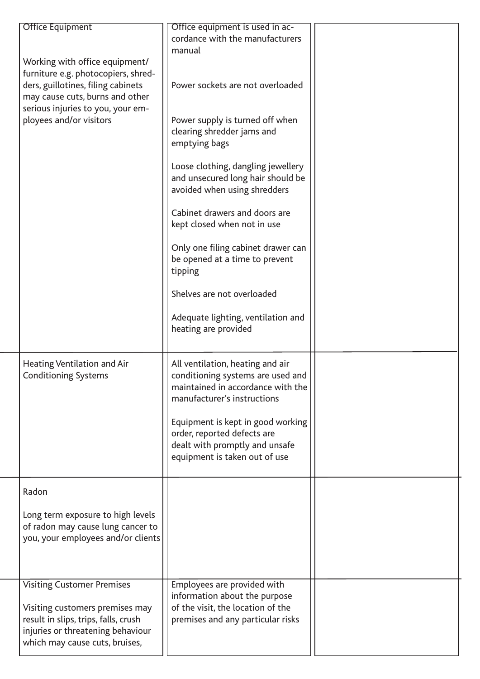| <b>Office Equipment</b><br>Working with office equipment/<br>furniture e.g. photocopiers, shred-<br>ders, guillotines, filing cabinets<br>may cause cuts, burns and other<br>serious injuries to you, your em-<br>ployees and/or visitors | Office equipment is used in ac-<br>cordance with the manufacturers<br>manual<br>Power sockets are not overloaded<br>Power supply is turned off when<br>clearing shredder jams and<br>emptying bags<br>Loose clothing, dangling jewellery<br>and unsecured long hair should be<br>avoided when using shredders<br>Cabinet drawers and doors are<br>kept closed when not in use<br>Only one filing cabinet drawer can<br>be opened at a time to prevent<br>tipping<br>Shelves are not overloaded<br>Adequate lighting, ventilation and<br>heating are provided |  |
|-------------------------------------------------------------------------------------------------------------------------------------------------------------------------------------------------------------------------------------------|--------------------------------------------------------------------------------------------------------------------------------------------------------------------------------------------------------------------------------------------------------------------------------------------------------------------------------------------------------------------------------------------------------------------------------------------------------------------------------------------------------------------------------------------------------------|--|
| Heating Ventilation and Air<br><b>Conditioning Systems</b>                                                                                                                                                                                | All ventilation, heating and air<br>conditioning systems are used and<br>maintained in accordance with the<br>manufacturer's instructions<br>Equipment is kept in good working<br>order, reported defects are<br>dealt with promptly and unsafe<br>equipment is taken out of use                                                                                                                                                                                                                                                                             |  |
| Radon<br>Long term exposure to high levels<br>of radon may cause lung cancer to<br>you, your employees and/or clients                                                                                                                     |                                                                                                                                                                                                                                                                                                                                                                                                                                                                                                                                                              |  |
| <b>Visiting Customer Premises</b><br>Visiting customers premises may<br>result in slips, trips, falls, crush<br>injuries or threatening behaviour<br>which may cause cuts, bruises,                                                       | Employees are provided with<br>information about the purpose<br>of the visit, the location of the<br>premises and any particular risks                                                                                                                                                                                                                                                                                                                                                                                                                       |  |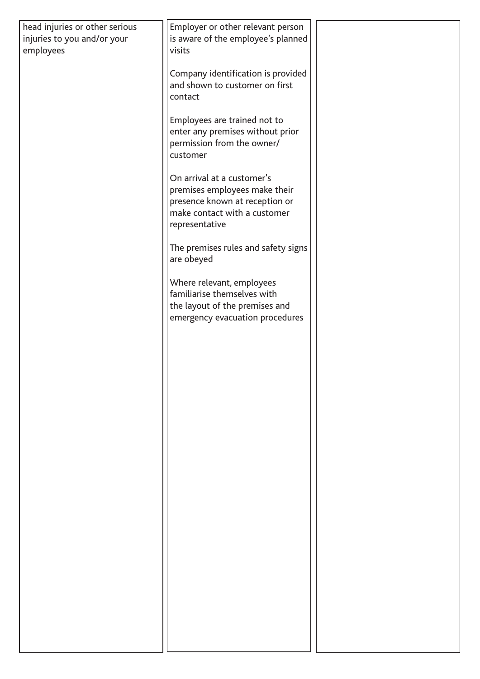| head injuries or other serious<br>injuries to you and/or your<br>employees | Employer or other relevant person<br>is aware of the employee's planned<br>visits                                                               |  |
|----------------------------------------------------------------------------|-------------------------------------------------------------------------------------------------------------------------------------------------|--|
|                                                                            | Company identification is provided<br>and shown to customer on first<br>contact                                                                 |  |
|                                                                            | Employees are trained not to<br>enter any premises without prior<br>permission from the owner/<br>customer                                      |  |
|                                                                            | On arrival at a customer's<br>premises employees make their<br>presence known at reception or<br>make contact with a customer<br>representative |  |
|                                                                            | The premises rules and safety signs<br>are obeyed                                                                                               |  |
|                                                                            | Where relevant, employees<br>familiarise themselves with<br>the layout of the premises and<br>emergency evacuation procedures                   |  |
|                                                                            |                                                                                                                                                 |  |
|                                                                            |                                                                                                                                                 |  |
|                                                                            |                                                                                                                                                 |  |
|                                                                            |                                                                                                                                                 |  |
|                                                                            |                                                                                                                                                 |  |
|                                                                            |                                                                                                                                                 |  |
|                                                                            |                                                                                                                                                 |  |
|                                                                            |                                                                                                                                                 |  |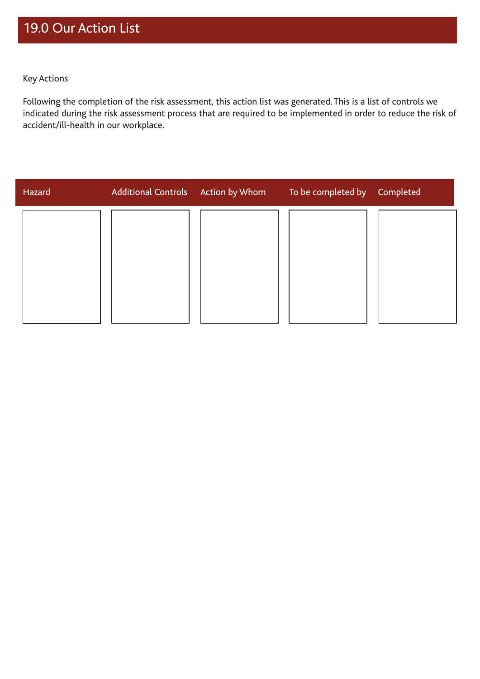Following the completion of the risk assessment, this action list was generated. This is a list of controls we indicated during the risk assessment process that are required to be implemented in order to reduce the risk of accident/ill-health in our workplace.

| Hazard | Additional Controls Action by Whom | To be completed by Completed |  |
|--------|------------------------------------|------------------------------|--|
|        |                                    |                              |  |
|        |                                    |                              |  |
|        |                                    |                              |  |
|        |                                    |                              |  |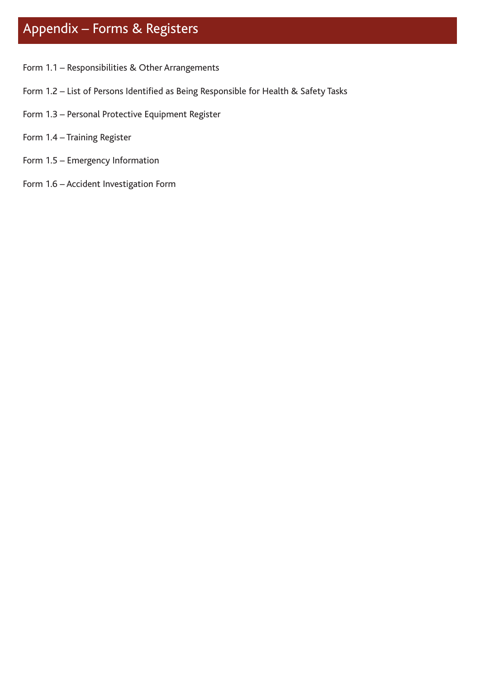## Appendix – Forms & Registers

- Form 1.1 Responsibilities & Other Arrangements
- Form 1.2 List of Persons Identified as Being Responsible for Health & Safety Tasks
- Form 1.3 Personal Protective Equipment Register
- Form 1.4 Training Register
- Form 1.5 Emergency Information
- Form 1.6 Accident Investigation Form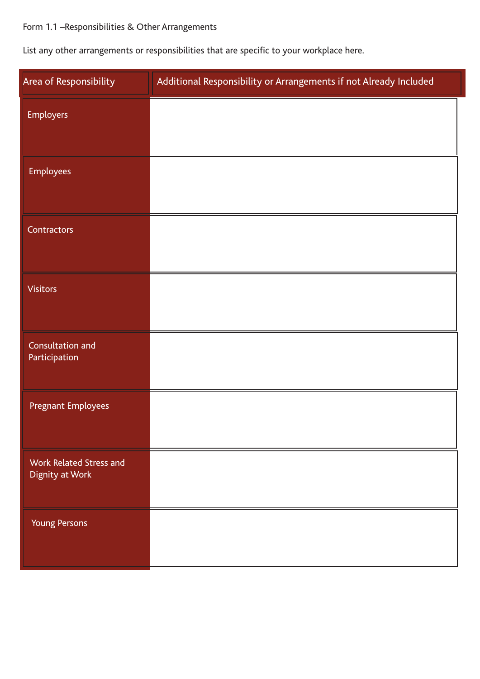## Form 1.1 –Responsibilities & Other Arrangements

List any other arrangements or responsibilities that are specific to your workplace here.

| Area of Responsibility                     | Additional Responsibility or Arrangements if not Already Included |
|--------------------------------------------|-------------------------------------------------------------------|
| <b>Employers</b>                           |                                                                   |
| <b>Employees</b>                           |                                                                   |
| Contractors                                |                                                                   |
| <b>Visitors</b>                            |                                                                   |
| Consultation and<br>Participation          |                                                                   |
| <b>Pregnant Employees</b>                  |                                                                   |
| Work Related Stress and<br>Dignity at Work |                                                                   |
| <b>Young Persons</b>                       |                                                                   |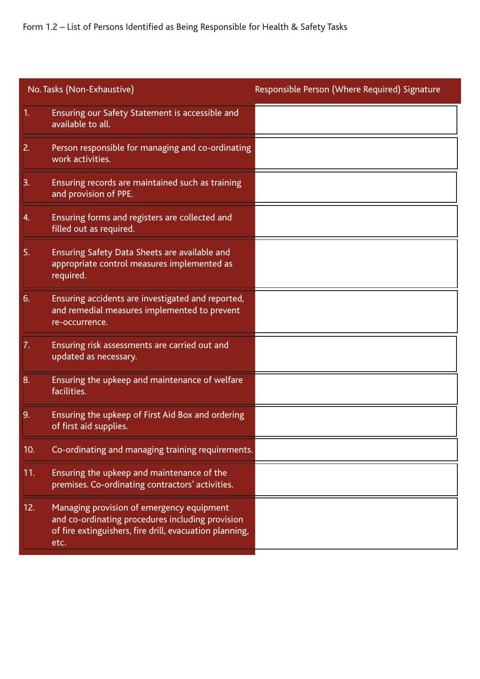Form 1.2 – List of Persons Identified as Being Responsible for Health & Safety Tasks

|     | No. Tasks (Non-Exhaustive)                                                                                                                                       | Responsible Person (Where Required) Signature |
|-----|------------------------------------------------------------------------------------------------------------------------------------------------------------------|-----------------------------------------------|
| 1.  | Ensuring our Safety Statement is accessible and<br>available to all.                                                                                             |                                               |
| 2.  | Person responsible for managing and co-ordinating<br>work activities.                                                                                            |                                               |
| 3.  | Ensuring records are maintained such as training<br>and provision of PPE.                                                                                        |                                               |
| 4.  | Ensuring forms and registers are collected and<br>filled out as required.                                                                                        |                                               |
| 5.  | Ensuring Safety Data Sheets are available and<br>appropriate control measures implemented as<br>required.                                                        |                                               |
| 6.  | Ensuring accidents are investigated and reported,<br>and remedial measures implemented to prevent<br>re-occurrence.                                              |                                               |
| 7.  | Ensuring risk assessments are carried out and<br>updated as necessary.                                                                                           |                                               |
| 8.  | Ensuring the upkeep and maintenance of welfare<br>facilities.                                                                                                    |                                               |
| 9.  | Ensuring the upkeep of First Aid Box and ordering<br>of first aid supplies.                                                                                      |                                               |
| 10. | Co-ordinating and managing training requirements.                                                                                                                |                                               |
| 11. | Ensuring the upkeep and maintenance of the<br>premises. Co-ordinating contractors' activities.                                                                   |                                               |
| 12. | Managing provision of emergency equipment<br>and co-ordinating procedures including provision<br>of fire extinguishers, fire drill, evacuation planning,<br>etc. |                                               |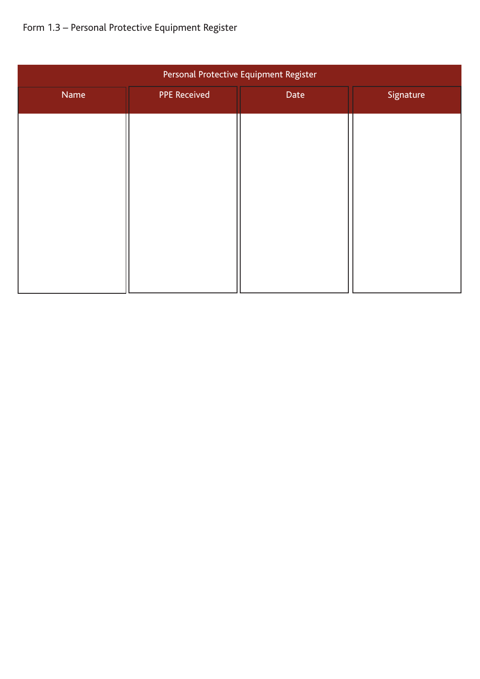## Form 1.3 – Personal Protective Equipment Register

| Personal Protective Equipment Register |                     |      |           |
|----------------------------------------|---------------------|------|-----------|
| Name                                   | <b>PPE Received</b> | Date | Signature |
|                                        |                     |      |           |
|                                        |                     |      |           |
|                                        |                     |      |           |
|                                        |                     |      |           |
|                                        |                     |      |           |
|                                        |                     |      |           |
|                                        |                     |      |           |
|                                        |                     |      |           |
|                                        |                     |      |           |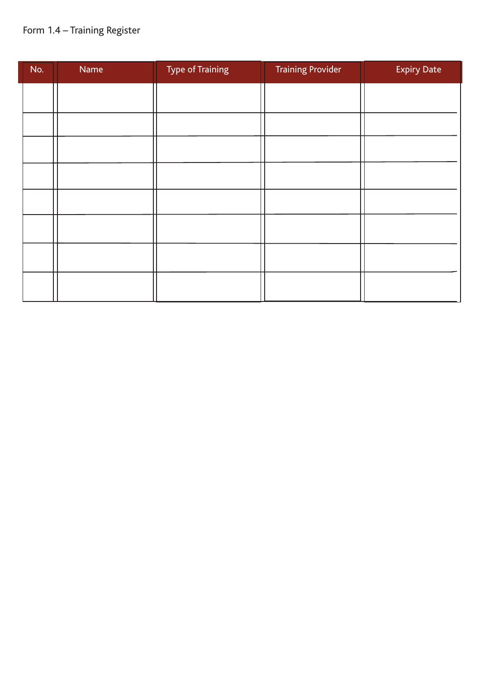## Form 1.4 – Training Register

| No. | Name | <b>Type of Training</b> | <b>Training Provider</b> | <b>Expiry Date</b> |
|-----|------|-------------------------|--------------------------|--------------------|
|     |      |                         |                          |                    |
|     |      |                         |                          |                    |
|     |      |                         |                          |                    |
|     |      |                         |                          |                    |
|     |      |                         |                          |                    |
|     |      |                         |                          |                    |
|     |      |                         |                          |                    |
|     |      |                         |                          |                    |
|     |      |                         |                          |                    |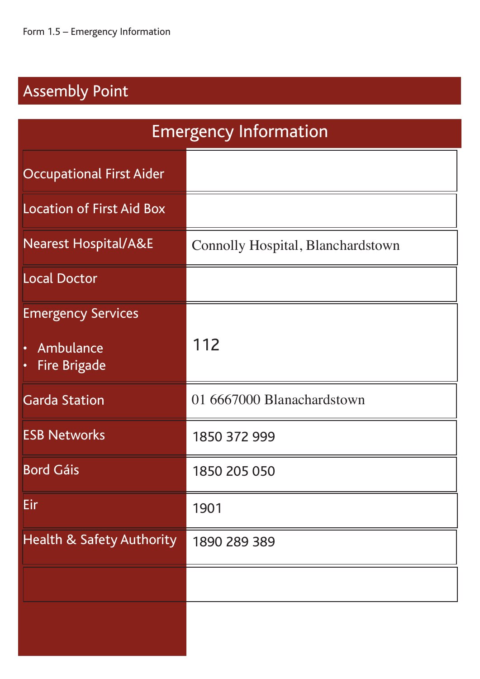## Assembly Point

| <b>Emergency Information</b>                                  |                                   |  |
|---------------------------------------------------------------|-----------------------------------|--|
| <b>Occupational First Aider</b>                               |                                   |  |
| <b>Location of First Aid Box</b>                              |                                   |  |
| <b>Nearest Hospital/A&amp;E</b>                               | Connolly Hospital, Blanchardstown |  |
| <b>Local Doctor</b>                                           |                                   |  |
| <b>Emergency Services</b><br>Ambulance<br><b>Fire Brigade</b> | 112                               |  |
| <b>Garda Station</b>                                          | 01 6667000 Blanachardstown        |  |
| <b>ESB Networks</b>                                           | 1850 372 999                      |  |
| <b>Bord Gáis</b>                                              | 1850 205 050                      |  |
| Eir                                                           | 1901                              |  |
| <b>Health &amp; Safety Authority</b>                          | 1890 289 389                      |  |
|                                                               |                                   |  |
|                                                               |                                   |  |